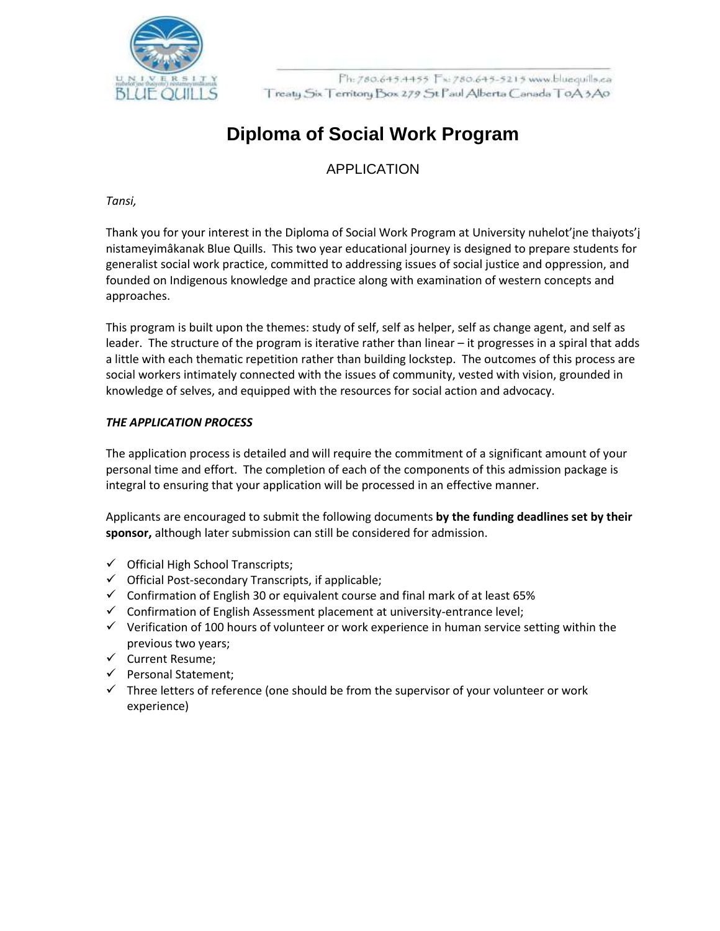

Ph: 780.645.4455 Fx: 780.645-5215 www.bluequills.ca Treaty Six Territory Box 279 St Paul Alberta Canada T0A3A0

# **Diploma of Social Work Program**

# APPLICATION

*Tansi,*

Thank you for your interest in the Diploma of Social Work Program at University nuhelot'įne thaiyots'į nistameyimâkanak Blue Quills. This two year educational journey is designed to prepare students for generalist social work practice, committed to addressing issues of social justice and oppression, and founded on Indigenous knowledge and practice along with examination of western concepts and approaches.

This program is built upon the themes: study of self, self as helper, self as change agent, and self as leader. The structure of the program is iterative rather than linear – it progresses in a spiral that adds a little with each thematic repetition rather than building lockstep. The outcomes of this process are social workers intimately connected with the issues of community, vested with vision, grounded in knowledge of selves, and equipped with the resources for social action and advocacy.

#### *THE APPLICATION PROCESS*

The application process is detailed and will require the commitment of a significant amount of your personal time and effort. The completion of each of the components of this admission package is integral to ensuring that your application will be processed in an effective manner.

Applicants are encouraged to submit the following documents **by the funding deadlines set by their sponsor,** although later submission can still be considered for admission.

- ✓ Official High School Transcripts;
- $\checkmark$  Official Post-secondary Transcripts, if applicable;
- $\checkmark$  Confirmation of English 30 or equivalent course and final mark of at least 65%
- $\checkmark$  Confirmation of English Assessment placement at university-entrance level;
- $\checkmark$  Verification of 100 hours of volunteer or work experience in human service setting within the previous two years;
- ✓ Current Resume;
- ✓ Personal Statement;
- $\checkmark$  Three letters of reference (one should be from the supervisor of your volunteer or work experience)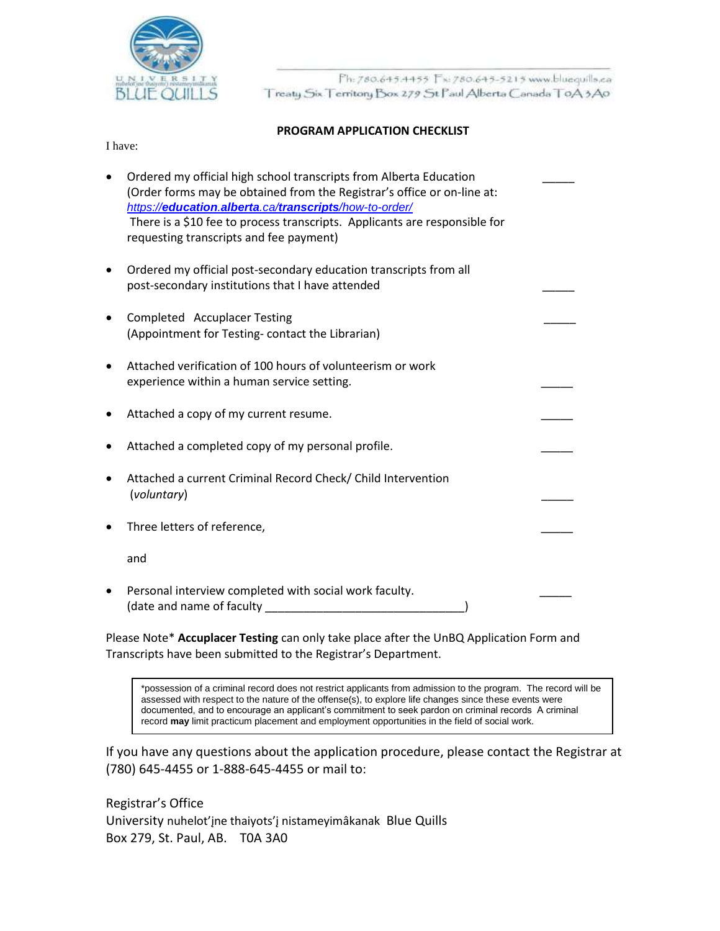

Ph: 780.645.4455 Fx: 780.645-5215 www.bluequills.ca Treaty Six Territory Box 279 St Paul Alberta Canada T0A3A0

#### **PROGRAM APPLICATION CHECKLIST**

I have:

| $\bullet$ | Ordered my official high school transcripts from Alberta Education<br>(Order forms may be obtained from the Registrar's office or on-line at:<br>https://education.alberta.ca/transcripts/how-to-order/<br>There is a \$10 fee to process transcripts. Applicants are responsible for<br>requesting transcripts and fee payment) |  |
|-----------|----------------------------------------------------------------------------------------------------------------------------------------------------------------------------------------------------------------------------------------------------------------------------------------------------------------------------------|--|
|           | Ordered my official post-secondary education transcripts from all<br>post-secondary institutions that I have attended                                                                                                                                                                                                            |  |
|           | <b>Completed Accuplacer Testing</b><br>(Appointment for Testing-contact the Librarian)                                                                                                                                                                                                                                           |  |
|           | Attached verification of 100 hours of volunteerism or work<br>experience within a human service setting.                                                                                                                                                                                                                         |  |
|           | Attached a copy of my current resume.                                                                                                                                                                                                                                                                                            |  |
|           | Attached a completed copy of my personal profile.                                                                                                                                                                                                                                                                                |  |
|           | Attached a current Criminal Record Check/ Child Intervention<br>(voluntary)                                                                                                                                                                                                                                                      |  |
|           | Three letters of reference,                                                                                                                                                                                                                                                                                                      |  |
|           | and                                                                                                                                                                                                                                                                                                                              |  |
|           | Personal interview completed with social work faculty.<br>(date and name of faculty                                                                                                                                                                                                                                              |  |

Please Note\* **Accuplacer Testing** can only take place after the UnBQ Application Form and Transcripts have been submitted to the Registrar's Department.

\*possession of a criminal record does not restrict applicants from admission to the program. The record will be assessed with respect to the nature of the offense(s), to explore life changes since these events were documented, and to encourage an applicant's commitment to seek pardon on criminal records A criminal record **may** limit practicum placement and employment opportunities in the field of social work.

If you have any questions about the application procedure, please contact the Registrar at (780) 645-4455 or 1-888-645-4455 or mail to:

Registrar's Office University nuhelot'įne thaiyots'į nistameyimâkanak Blue Quills Box 279, St. Paul, AB. T0A 3A0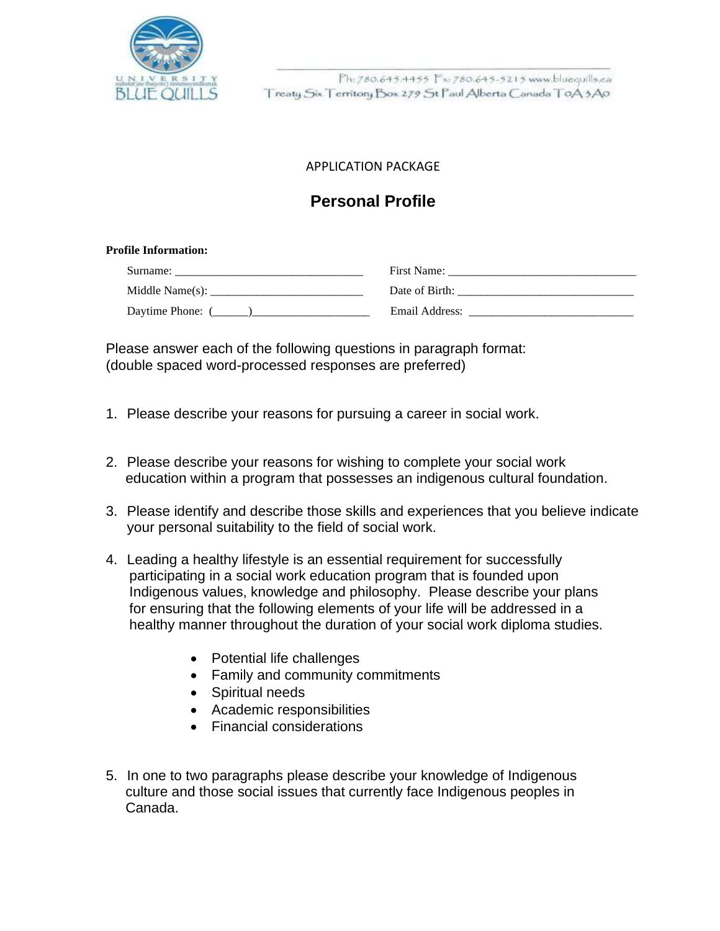

Ph: 780.645.4455 Fx: 780.645-5215 www.bluequills.ca Treaty Six Territory Box 279 St Paul Alberta Canada T0A3A0

#### APPLICATION PACKAGE

# **Personal Profile**

#### **Profile Information:**

| Surname:         | First Name:    |
|------------------|----------------|
| Middle Name(s):  | Date of Birth: |
| Daytime Phone: ( | Email Address: |

Please answer each of the following questions in paragraph format: (double spaced word-processed responses are preferred)

- 1. Please describe your reasons for pursuing a career in social work.
- 2. Please describe your reasons for wishing to complete your social work education within a program that possesses an indigenous cultural foundation.
- 3. Please identify and describe those skills and experiences that you believe indicate your personal suitability to the field of social work.
- 4. Leading a healthy lifestyle is an essential requirement for successfully participating in a social work education program that is founded upon Indigenous values, knowledge and philosophy. Please describe your plans for ensuring that the following elements of your life will be addressed in a healthy manner throughout the duration of your social work diploma studies.
	- Potential life challenges
	- Family and community commitments
	- Spiritual needs
	- Academic responsibilities
	- Financial considerations
- 5. In one to two paragraphs please describe your knowledge of Indigenous culture and those social issues that currently face Indigenous peoples in Canada.